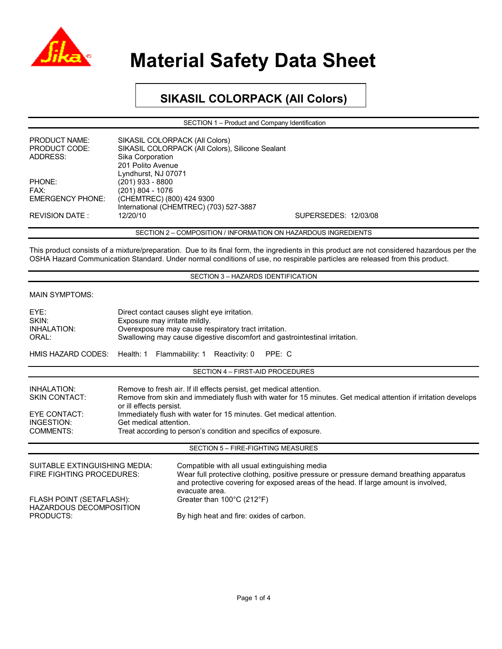

## **SIKASIL COLORPACK (All Colors)**

SECTION 1 – Product and Company Identification

| <b>PRODUCT NAME:</b>    | SIKASIL COLORPACK (All Colors)                   |                      |  |
|-------------------------|--------------------------------------------------|----------------------|--|
| <b>PRODUCT CODE:</b>    | SIKASIL COLORPACK (All Colors), Silicone Sealant |                      |  |
| ADDRESS:                | Sika Corporation                                 |                      |  |
|                         | 201 Polito Avenue                                |                      |  |
|                         | Lyndhurst, NJ 07071                              |                      |  |
| PHONE:                  | $(201)$ 933 - 8800                               |                      |  |
| FAX:                    | (201) 804 - 1076                                 |                      |  |
| <b>EMERGENCY PHONE:</b> | (CHEMTREC) (800) 424 9300                        |                      |  |
|                         | International (CHEMTREC) (703) 527-3887          |                      |  |
| REVISION DATE :         | 12/20/10                                         | SUPERSEDES: 12/03/08 |  |
|                         |                                                  |                      |  |

SECTION 2 – COMPOSITION / INFORMATION ON HAZARDOUS INGREDIENTS

This product consists of a mixture/preparation. Due to its final form, the ingredients in this product are not considered hazardous per the OSHA Hazard Communication Standard. Under normal conditions of use, no respirable particles are released from this product.

### SECTION 3 – HAZARDS IDENTIFICATION

### MAIN SYMPTOMS:

| EYE:<br>SKIN:<br>INHALATION:<br>ORAL:                                                 | Direct contact causes slight eye irritation.<br>Exposure may irritate mildly.<br>Overexposure may cause respiratory tract irritation.<br>Swallowing may cause digestive discomfort and gastrointestinal irritation.                                                                                                                                                                   |                                                                                                                                                                                                                                                   |                                    |        |  |  |
|---------------------------------------------------------------------------------------|---------------------------------------------------------------------------------------------------------------------------------------------------------------------------------------------------------------------------------------------------------------------------------------------------------------------------------------------------------------------------------------|---------------------------------------------------------------------------------------------------------------------------------------------------------------------------------------------------------------------------------------------------|------------------------------------|--------|--|--|
| HMIS HAZARD CODES:                                                                    | Health: 1 Flammability: 1                                                                                                                                                                                                                                                                                                                                                             |                                                                                                                                                                                                                                                   | Reactivity: 0                      | PPE: C |  |  |
|                                                                                       |                                                                                                                                                                                                                                                                                                                                                                                       |                                                                                                                                                                                                                                                   | SECTION 4 - FIRST-AID PROCEDURES   |        |  |  |
| INHALATION:<br><b>SKIN CONTACT:</b><br>EYE CONTACT:<br>INGESTION:<br><b>COMMENTS:</b> | Remove to fresh air. If ill effects persist, get medical attention.<br>Remove from skin and immediately flush with water for 15 minutes. Get medical attention if irritation develops<br>or ill effects persist.<br>Immediately flush with water for 15 minutes. Get medical attention.<br>Get medical attention.<br>Treat according to person's condition and specifics of exposure. |                                                                                                                                                                                                                                                   |                                    |        |  |  |
|                                                                                       |                                                                                                                                                                                                                                                                                                                                                                                       |                                                                                                                                                                                                                                                   | SECTION 5 - FIRE-FIGHTING MEASURES |        |  |  |
| <b>SUITABLE EXTINGUISHING MEDIA:</b><br>FIRE FIGHTING PROCEDURES:                     |                                                                                                                                                                                                                                                                                                                                                                                       | Compatible with all usual extinguishing media<br>Wear full protective clothing, positive pressure or pressure demand breathing apparatus<br>and protective covering for exposed areas of the head. If large amount is involved,<br>evacuate area. |                                    |        |  |  |
| FLASH POINT (SETAFLASH):<br><b>HAZARDOUS DECOMPOSITION</b><br>PRODUCTS:               |                                                                                                                                                                                                                                                                                                                                                                                       | Greater than $100^{\circ}$ C (212 $^{\circ}$ F)<br>By high heat and fire: oxides of carbon.                                                                                                                                                       |                                    |        |  |  |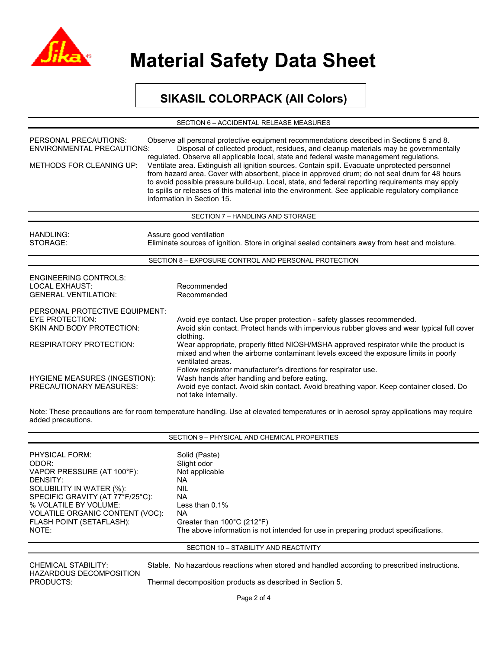

### **SIKASIL COLORPACK (All Colors)**

SECTION 6 – ACCIDENTAL RELEASE MEASURES

| PERSONAL PRECAUTIONS:<br><b>ENVIRONMENTAL PRECAUTIONS:</b><br><b>METHODS FOR CLEANING UP:</b> | Observe all personal protective equipment recommendations described in Sections 5 and 8.<br>Disposal of collected product, residues, and cleanup materials may be governmentally<br>regulated. Observe all applicable local, state and federal waste management regulations.<br>Ventilate area. Extinguish all ignition sources. Contain spill. Evacuate unprotected personnel<br>from hazard area. Cover with absorbent, place in approved drum; do not seal drum for 48 hours<br>to avoid possible pressure build-up. Local, state, and federal reporting requirements may apply<br>to spills or releases of this material into the environment. See applicable regulatory compliance<br>information in Section 15. |  |  |
|-----------------------------------------------------------------------------------------------|-----------------------------------------------------------------------------------------------------------------------------------------------------------------------------------------------------------------------------------------------------------------------------------------------------------------------------------------------------------------------------------------------------------------------------------------------------------------------------------------------------------------------------------------------------------------------------------------------------------------------------------------------------------------------------------------------------------------------|--|--|
|                                                                                               | SECTION 7 - HANDLING AND STORAGE                                                                                                                                                                                                                                                                                                                                                                                                                                                                                                                                                                                                                                                                                      |  |  |
| <b>HANDLING:</b><br>STORAGE:                                                                  | Assure good ventilation<br>Eliminate sources of ignition. Store in original sealed containers away from heat and moisture.                                                                                                                                                                                                                                                                                                                                                                                                                                                                                                                                                                                            |  |  |
|                                                                                               | SECTION 8 - EXPOSURE CONTROL AND PERSONAL PROTECTION                                                                                                                                                                                                                                                                                                                                                                                                                                                                                                                                                                                                                                                                  |  |  |
| <b>ENGINEERING CONTROLS:</b><br><b>LOCAL EXHAUST:</b><br><b>GENERAL VENTILATION:</b>          | Recommended<br>Recommended                                                                                                                                                                                                                                                                                                                                                                                                                                                                                                                                                                                                                                                                                            |  |  |
| PERSONAL PROTECTIVE EQUIPMENT:                                                                |                                                                                                                                                                                                                                                                                                                                                                                                                                                                                                                                                                                                                                                                                                                       |  |  |
| <b>EYE PROTECTION:</b><br><b>SKIN AND BODY PROTECTION:</b>                                    | Avoid eye contact. Use proper protection - safety glasses recommended.<br>Avoid skin contact. Protect hands with impervious rubber gloves and wear typical full cover<br>clothing.                                                                                                                                                                                                                                                                                                                                                                                                                                                                                                                                    |  |  |
| <b>RESPIRATORY PROTECTION:</b>                                                                | Wear appropriate, properly fitted NIOSH/MSHA approved respirator while the product is<br>mixed and when the airborne contaminant levels exceed the exposure limits in poorly<br>ventilated areas.<br>Follow respirator manufacturer's directions for respirator use.                                                                                                                                                                                                                                                                                                                                                                                                                                                  |  |  |
| HYGIENE MEASURES (INGESTION):<br><b>PRECAUTIONARY MEASURES:</b>                               | Wash hands after handling and before eating.<br>Avoid eye contact. Avoid skin contact. Avoid breathing vapor. Keep container closed. Do<br>not take internally.                                                                                                                                                                                                                                                                                                                                                                                                                                                                                                                                                       |  |  |

Note: These precautions are for room temperature handling. Use at elevated temperatures or in aerosol spray applications may require added precautions.

|                                  | SECTION 9 - PHYSICAL AND CHEMICAL PROPERTIES                                       |
|----------------------------------|------------------------------------------------------------------------------------|
| PHYSICAL FORM:                   | Solid (Paste)                                                                      |
| ODOR:                            | Slight odor                                                                        |
| VAPOR PRESSURE (AT 100°F):       | Not applicable                                                                     |
| DENSITY:                         | NA.                                                                                |
| SOLUBILITY IN WATER (%):         | <b>NIL</b>                                                                         |
| SPECIFIC GRAVITY (AT 77°F/25°C): | NA.                                                                                |
| % VOLATILE BY VOLUME:            | Less than $0.1\%$                                                                  |
| VOLATILE ORGANIC CONTENT (VOC):  | NA.                                                                                |
| FLASH POINT (SETAFLASH):         | Greater than $100^{\circ}$ C (212 $^{\circ}$ F)                                    |
| NOTE:                            | The above information is not intended for use in preparing product specifications. |

#### SECTION 10 – STABILITY AND REACTIVITY

CHEMICAL STABILITY: Stable. No hazardous reactions when stored and handled according to prescribed instructions. HAZARDOUS DECOMPOSITION<br>PRODUCTS: Thermal decomposition products as described in Section 5.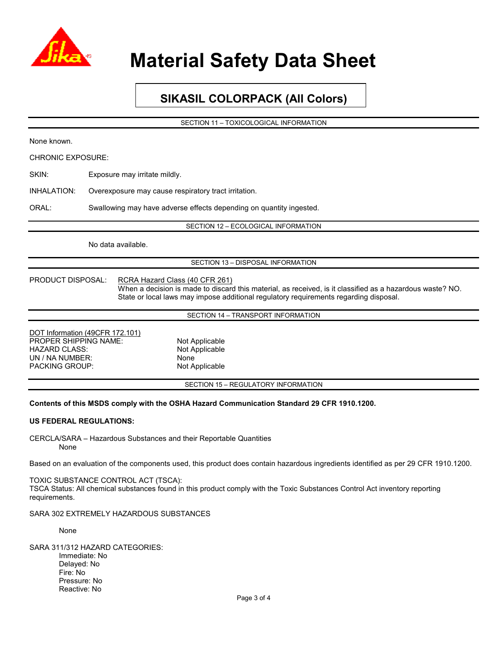

## **SIKASIL COLORPACK (All Colors)**

SECTION 11 – TOXICOLOGICAL INFORMATION

| None known.                                                                                                                                                                         |                                                                                                                                                                                                                                      |  |  |  |  |
|-------------------------------------------------------------------------------------------------------------------------------------------------------------------------------------|--------------------------------------------------------------------------------------------------------------------------------------------------------------------------------------------------------------------------------------|--|--|--|--|
| <b>CHRONIC EXPOSURE:</b>                                                                                                                                                            |                                                                                                                                                                                                                                      |  |  |  |  |
| SKIN:                                                                                                                                                                               | Exposure may irritate mildly.                                                                                                                                                                                                        |  |  |  |  |
| <b>INHALATION:</b>                                                                                                                                                                  | Overexposure may cause respiratory tract irritation.                                                                                                                                                                                 |  |  |  |  |
| ORAL:                                                                                                                                                                               | Swallowing may have adverse effects depending on quantity ingested.                                                                                                                                                                  |  |  |  |  |
|                                                                                                                                                                                     | SECTION 12 - ECOLOGICAL INFORMATION                                                                                                                                                                                                  |  |  |  |  |
|                                                                                                                                                                                     | No data available.                                                                                                                                                                                                                   |  |  |  |  |
|                                                                                                                                                                                     | SECTION 13 - DISPOSAL INFORMATION                                                                                                                                                                                                    |  |  |  |  |
| PRODUCT DISPOSAL:                                                                                                                                                                   | RCRA Hazard Class (40 CFR 261)<br>When a decision is made to discard this material, as received, is it classified as a hazardous waste? NO.<br>State or local laws may impose additional regulatory requirements regarding disposal. |  |  |  |  |
|                                                                                                                                                                                     | SECTION 14 - TRANSPORT INFORMATION                                                                                                                                                                                                   |  |  |  |  |
| PROPER SHIPPING NAME:<br><b>HAZARD CLASS:</b><br>UN / NA NUMBER:<br>PACKING GROUP:                                                                                                  | DOT Information (49CFR 172.101)<br>Not Applicable<br>Not Applicable<br>None<br>Not Applicable                                                                                                                                        |  |  |  |  |
|                                                                                                                                                                                     | SECTION 15 - REGULATORY INFORMATION                                                                                                                                                                                                  |  |  |  |  |
|                                                                                                                                                                                     | Contents of this MSDS comply with the OSHA Hazard Communication Standard 29 CFR 1910.1200.                                                                                                                                           |  |  |  |  |
| <b>US FEDERAL REGULATIONS:</b>                                                                                                                                                      |                                                                                                                                                                                                                                      |  |  |  |  |
| None                                                                                                                                                                                | CERCLA/SARA – Hazardous Substances and their Reportable Quantities                                                                                                                                                                   |  |  |  |  |
| Based on an evaluation of the components used, this product does contain hazardous ingredients identified as per 29 CFR 1910.1200.                                                  |                                                                                                                                                                                                                                      |  |  |  |  |
| TOXIC SUBSTANCE CONTROL ACT (TSCA):<br>TSCA Status: All chemical substances found in this product comply with the Toxic Substances Control Act inventory reporting<br>requirements. |                                                                                                                                                                                                                                      |  |  |  |  |

SARA 302 EXTREMELY HAZARDOUS SUBSTANCES

None

SARA 311/312 HAZARD CATEGORIES: Immediate: No Delayed: No Fire: No Pressure: No Reactive: No